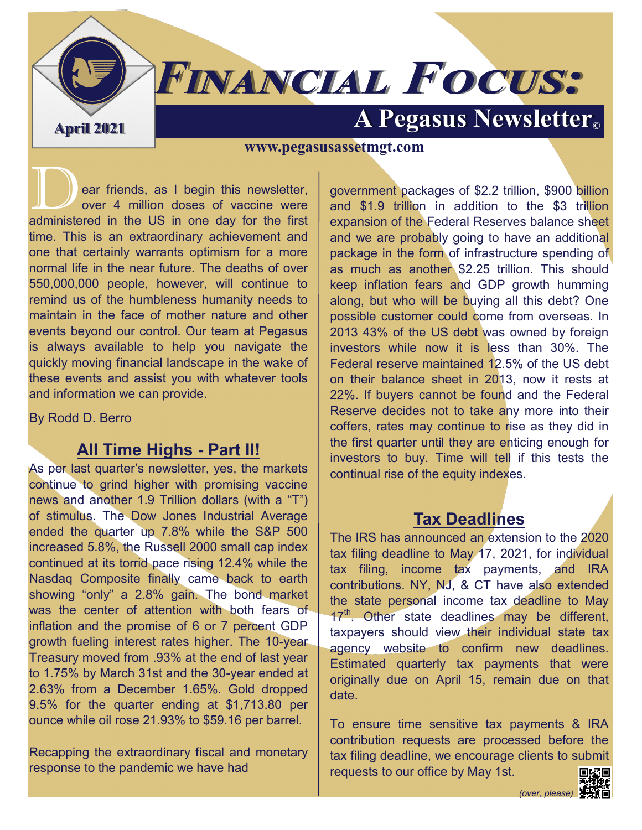# **FINANCIAL FOCUS:**

## **April 2021 A Pegasus Newsletter**

**www.pegasusassetmgt.com**

ear friends, as I begin this newsletter, over 4 million doses of vaccine were administered in the US in one day for the first time. This is an extraordinary achievement and one that certainly warrants optimism for a more normal life in the near future. The deaths of over 550,000,000 people, however, will continue to remind us of the humbleness humanity needs to maintain in the face of mother nature and other events beyond our control. Our team at Pegasus is always available to help you navigate the quickly moving financial landscape in the wake of these events and assist you with whatever tools and information we can provide.

By Rodd D. Berro

### **All Time Highs - Part II!**

As per last quarter's newsletter, yes, the markets continue to grind higher with promising vaccine news and another 1.9 Trillion dollars (with a "T") of stimulus. The Dow Jones Industrial Average ended the quarter up 7.8% while the S&P 500 increased 5.8%, the Russell 2000 small cap index continued at its torrid pace rising 12.4% while the Nasdaq Composite finally came back to earth showing "only" a 2.8% gain. The bond market was the center of attention with both fears of inflation and the promise of 6 or 7 percent GDP growth fueling interest rates higher. The 10-year Treasury moved from .93% at the end of last year to 1.75% by March 31st and the 30-year ended at 2.63% from a December 1.65%. Gold dropped 9.5% for the quarter ending at \$1,713.80 per ounce while oil rose 21.93% to \$59.16 per barrel.

Recapping the extraordinary fiscal and monetary response to the pandemic we have had

government packages of \$2.2 trillion, \$900 billion and \$1.9 trillion in addition to the \$3 trillion expansion of the Federal Reserves balance sheet and we are probably going to have an additional package in the form of infrastructure spending of as much as another \$2.25 trillion. This should keep inflation fears and GDP growth humming along, but who will be buying all this debt? One possible customer could come from overseas. In 2013 43% of the US debt was owned by foreign investors while now it is less than 30%. The Federal reserve maintained 12.5% of the US debt on their balance sheet in 2013, now it rests at 22%. If buyers cannot be found and the Federal Reserve decides not to take any more into their coffers, rates may continue to rise as they did in the first quarter until they are enticing enough for investors to buy. Time will tell if this tests the continual rise of the equity indexes.

## **Tax Deadlines**

The IRS has [announced](https://www.irs.gov/newsroom/tax-day-for-individuals-extended-to-may-17-treasury-irs-extend-filing-and-payment-deadline) an extension to the 2020 tax filing deadline to May 17, 2021, for individual tax filing, income tax payments, and IRA contributions. NY, NJ, & CT have also extended the state personal income tax deadline to May 17<sup>th</sup>. Other state deadlines may be different, taxpayers should view their individual state tax [agency](https://si2.schwabinstitutional.com/SI2/Published/Direct/secure/sac/news_resources/non_nav/sb.html?url=https%253A%252F%252Fwww.taxadmin.org%252Fstate%252Dtax%252Dagencies) website to confirm new deadlines. Estimated quarterly tax payments that were originally due on April 15, remain due on that date.

To ensure time sensitive tax payments & IRA contribution requests are processed before the tax filing deadline, we encourage clients to submit requests to our office by May 1st.